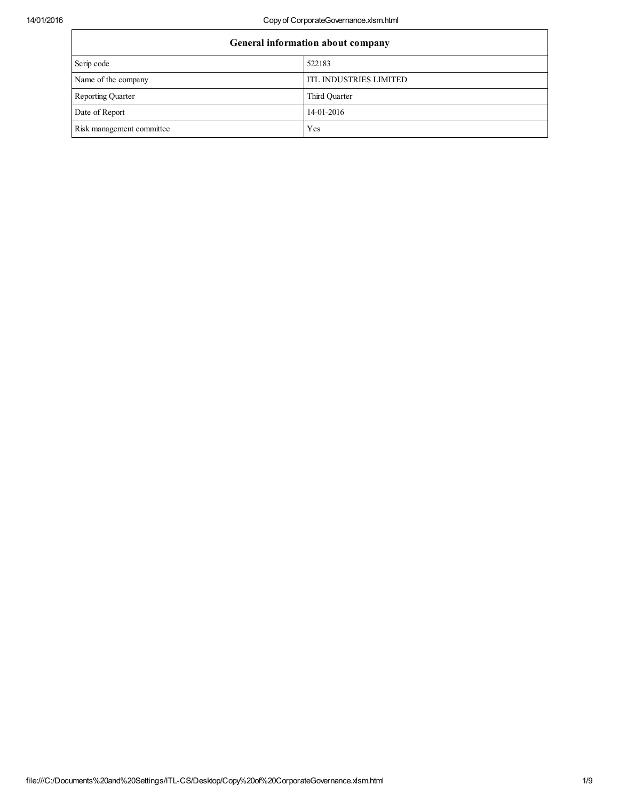| General information about company |                               |  |  |  |
|-----------------------------------|-------------------------------|--|--|--|
| Scrip code                        | 522183                        |  |  |  |
| Name of the company               | <b>ITL INDUSTRIES LIMITED</b> |  |  |  |
| <b>Reporting Quarter</b>          | Third Quarter                 |  |  |  |
| Date of Report                    | 14-01-2016                    |  |  |  |
| Risk management committee         | Yes                           |  |  |  |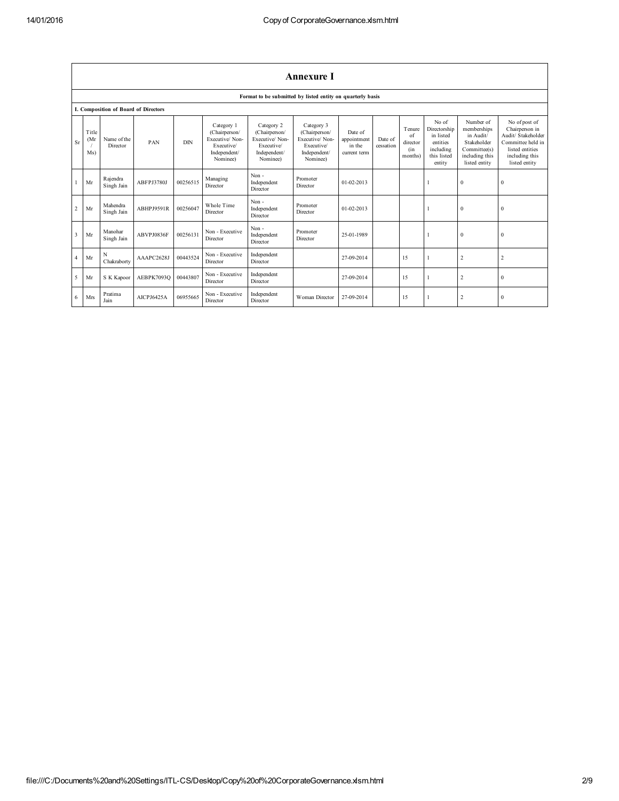|                         | <b>Annexure I</b>    |                                      |                   |          |                                                                                         |                                                                                         |                                                                                         |                                                  |                      |                                                          |                                                                                      |                                                                                                         |                                                                                                                                  |
|-------------------------|----------------------|--------------------------------------|-------------------|----------|-----------------------------------------------------------------------------------------|-----------------------------------------------------------------------------------------|-----------------------------------------------------------------------------------------|--------------------------------------------------|----------------------|----------------------------------------------------------|--------------------------------------------------------------------------------------|---------------------------------------------------------------------------------------------------------|----------------------------------------------------------------------------------------------------------------------------------|
|                         |                      |                                      |                   |          |                                                                                         |                                                                                         | Format to be submitted by listed entity on quarterly basis                              |                                                  |                      |                                                          |                                                                                      |                                                                                                         |                                                                                                                                  |
|                         |                      | I. Composition of Board of Directors |                   |          |                                                                                         |                                                                                         |                                                                                         |                                                  |                      |                                                          |                                                                                      |                                                                                                         |                                                                                                                                  |
| <b>Sr</b>               | Title<br>(Mr)<br>Ms) | Name of the<br>Director              | PAN               | DIN      | Category 1<br>(Chairperson/<br>Executive/Non-<br>Executive/<br>Independent/<br>Nominee) | Category 2<br>(Chairperson/<br>Executive/Non-<br>Executive/<br>Independent/<br>Nominee) | Category 3<br>(Chairperson/<br>Executive/Non-<br>Executive/<br>Independent/<br>Nominee) | Date of<br>appointment<br>in the<br>current term | Date of<br>cessation | Tenure<br>of<br>director<br>(i <sub>n</sub> )<br>months) | No of<br>Directorship<br>in listed<br>entities<br>including<br>this listed<br>entity | Number of<br>memberships<br>in Audit/<br>Stakeholder<br>Committee(s)<br>including this<br>listed entity | No of post of<br>Chairperson in<br>Audit/ Stakeholder<br>Committee held in<br>listed entities<br>including this<br>listed entity |
|                         | Mr                   | Rajendra<br>Singh Jain               | ABFPJ3780J        | 00256515 | Managing<br>Director                                                                    | Non-<br>Independent<br>Director                                                         | Promoter<br>Director                                                                    | 01-02-2013                                       |                      |                                                          |                                                                                      | $\mathbf{0}$                                                                                            | $\boldsymbol{0}$                                                                                                                 |
| $\overline{c}$          | Mr                   | Mahendra<br>Singh Jain               | <b>ABHPJ9591R</b> | 00256047 | Whole Time<br>Director                                                                  | Non-<br>Independent<br>Director                                                         | Promoter<br>Director                                                                    | $01-02-2013$                                     |                      |                                                          |                                                                                      | $\Omega$                                                                                                | $\mathbf{0}$                                                                                                                     |
| $\overline{\mathbf{3}}$ | Mr                   | Manohar<br>Singh Jain                | ABVPJ0836F        | 00256131 | Non - Executive<br>Director                                                             | Non-<br>Independent<br>Director                                                         | Promoter<br>Director                                                                    | 25-01-1989                                       |                      |                                                          |                                                                                      | $\mathbf{0}$                                                                                            | $\mathbf{0}$                                                                                                                     |
| $\overline{4}$          | Mr                   | N<br>Chakraborty                     | AAAPC2628J        | 00443524 | Non - Executive<br>Director                                                             | Independent<br>Director                                                                 |                                                                                         | 27-09-2014                                       |                      | 15                                                       |                                                                                      | $\sqrt{2}$                                                                                              | $\overline{2}$                                                                                                                   |
| 5                       | Mr                   | S K Kapoor                           | AEBPK7093O        | 00443807 | Non - Executive<br>Director                                                             | Independent<br>Director                                                                 |                                                                                         | 27-09-2014                                       |                      | 15                                                       |                                                                                      | $\overline{2}$                                                                                          | $\mathbf{0}$                                                                                                                     |
| 6                       | Mrs                  | Pratima<br>Jain                      | AICPJ6425A        | 06955665 | Non - Executive<br>Director                                                             | Independent<br>Director                                                                 | Woman Director                                                                          | 27-09-2014                                       |                      | 15                                                       |                                                                                      | $\overline{2}$                                                                                          | $\mathbf{0}$                                                                                                                     |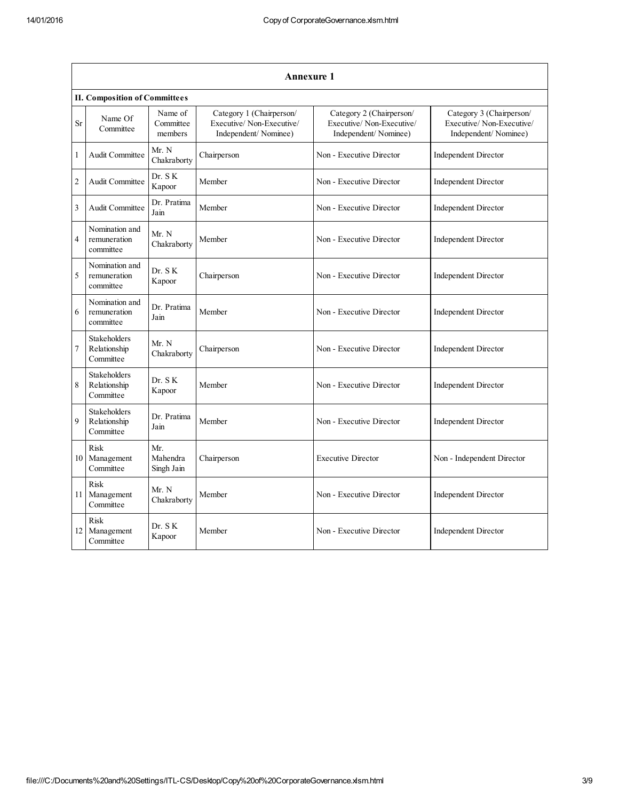|                | Annexure 1                                       |                                 |                                                                              |                                                                              |                                                                              |  |  |  |
|----------------|--------------------------------------------------|---------------------------------|------------------------------------------------------------------------------|------------------------------------------------------------------------------|------------------------------------------------------------------------------|--|--|--|
|                | <b>II. Composition of Committees</b>             |                                 |                                                                              |                                                                              |                                                                              |  |  |  |
| <b>Sr</b>      | Name Of<br>Committee                             | Name of<br>Committee<br>members | Category 1 (Chairperson/<br>Executive/Non-Executive/<br>Independent/Nominee) | Category 2 (Chairperson/<br>Executive/Non-Executive/<br>Independent/Nominee) | Category 3 (Chairperson/<br>Executive/Non-Executive/<br>Independent/Nominee) |  |  |  |
| $\mathbf{1}$   | Audit Committee                                  | Mr. N<br>Chakraborty            | Chairperson                                                                  | Non - Executive Director                                                     | <b>Independent Director</b>                                                  |  |  |  |
| $\overline{c}$ | Audit Committee                                  | Dr. SK<br>Kapoor                | Member                                                                       | Non - Executive Director                                                     | <b>Independent Director</b>                                                  |  |  |  |
| 3              | Audit Committee                                  | Dr. Pratima<br>Jain             | Member                                                                       | Non - Executive Director                                                     | Independent Director                                                         |  |  |  |
| $\overline{4}$ | Nomination and<br>remuneration<br>committee      | Mr. N<br>Chakraborty            | Member                                                                       | Non - Executive Director                                                     | <b>Independent Director</b>                                                  |  |  |  |
| 5              | Nomination and<br>remuneration<br>committee      | Dr. S K<br>Kapoor               | Chairperson                                                                  | Non - Executive Director                                                     | <b>Independent Director</b>                                                  |  |  |  |
| 6              | Nomination and<br>remuneration<br>committee      | Dr. Pratima<br>Jain             | Member                                                                       | Non - Executive Director                                                     | <b>Independent Director</b>                                                  |  |  |  |
| 7              | <b>Stakeholders</b><br>Relationship<br>Committee | Mr. N<br>Chakraborty            | Chairperson                                                                  | Non - Executive Director                                                     | Independent Director                                                         |  |  |  |
| 8              | <b>Stakeholders</b><br>Relationship<br>Committee | Dr. SK<br>Kapoor                | Member                                                                       | Non - Executive Director                                                     | <b>Independent Director</b>                                                  |  |  |  |
| 9              | Stakeholders<br>Relationship<br>Committee        | Dr. Pratima<br>Jain             | Member                                                                       | Non - Executive Director                                                     | <b>Independent Director</b>                                                  |  |  |  |
| 10             | Risk<br>Management<br>Committee                  | Mr.<br>Mahendra<br>Singh Jain   | Chairperson                                                                  | <b>Executive Director</b>                                                    | Non - Independent Director                                                   |  |  |  |
| 11             | Risk<br>Management<br>Committee                  | Mr. N<br>Chakraborty            | Member                                                                       | Non - Executive Director                                                     | <b>Independent Director</b>                                                  |  |  |  |
| 12             | Risk<br>Management<br>Committee                  | Dr. SK<br>Kapoor                | Member                                                                       | Non - Executive Director                                                     | <b>Independent Director</b>                                                  |  |  |  |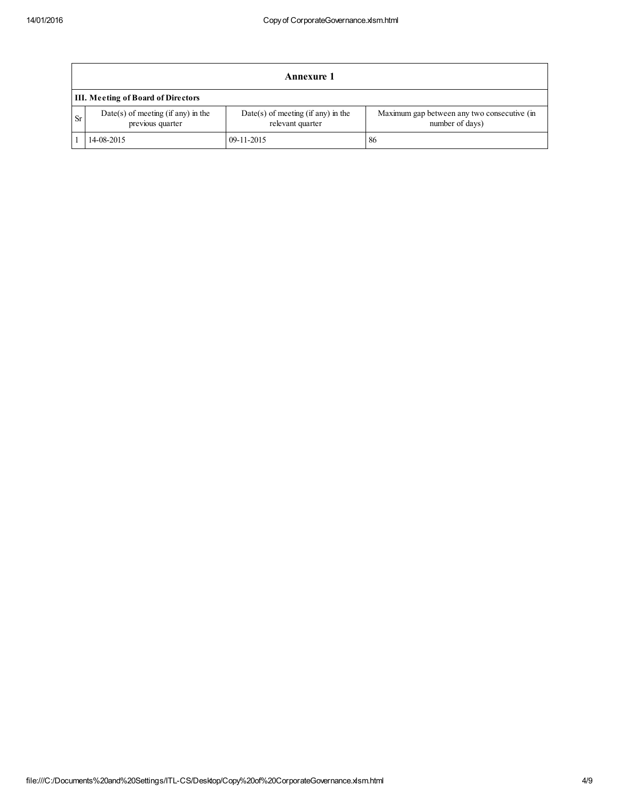|           | Annexure 1                                               |                                                          |                                                                |  |  |  |  |
|-----------|----------------------------------------------------------|----------------------------------------------------------|----------------------------------------------------------------|--|--|--|--|
|           | III. Meeting of Board of Directors                       |                                                          |                                                                |  |  |  |  |
| <b>Sr</b> | $Date(s)$ of meeting (if any) in the<br>previous quarter | $Date(s)$ of meeting (if any) in the<br>relevant quarter | Maximum gap between any two consecutive (in<br>number of days) |  |  |  |  |
|           | 14-08-2015                                               | $09-11-2015$                                             | 86                                                             |  |  |  |  |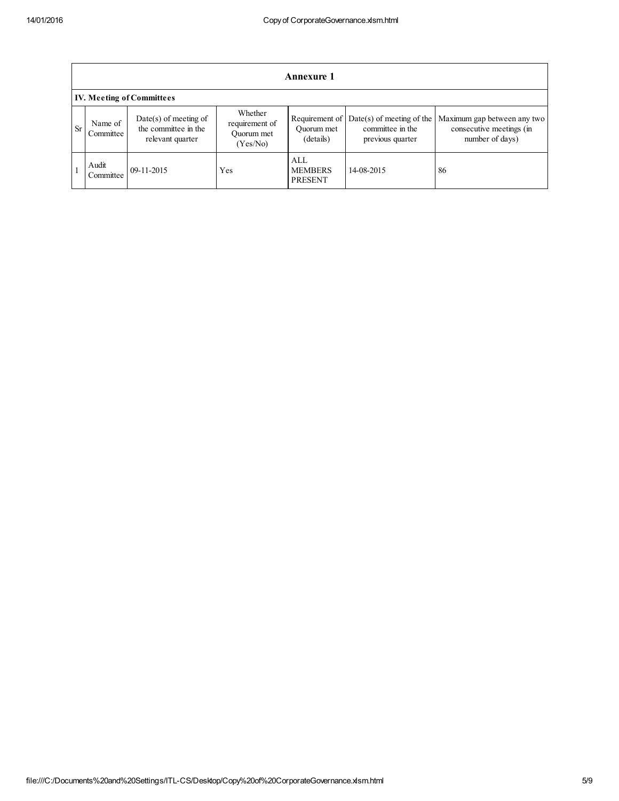|           | <b>Annexure 1</b>    |                                                                     |                                                     |                                           |                                                                     |                                                                            |  |
|-----------|----------------------|---------------------------------------------------------------------|-----------------------------------------------------|-------------------------------------------|---------------------------------------------------------------------|----------------------------------------------------------------------------|--|
|           |                      | <b>IV. Meeting of Committees</b>                                    |                                                     |                                           |                                                                     |                                                                            |  |
| <b>Sr</b> | Name of<br>Committee | $Date(s)$ of meeting of<br>the committee in the<br>relevant quarter | Whether<br>requirement of<br>Ouorum met<br>(Yes/No) | Requirement of<br>Ouorum met<br>(details) | $Date(s)$ of meeting of the<br>committee in the<br>previous quarter | Maximum gap between any two<br>consecutive meetings (in<br>number of days) |  |
|           | Audit<br>Committee   | $09-11-2015$                                                        | Yes                                                 | ALL<br><b>MEMBERS</b><br><b>PRESENT</b>   | 14-08-2015                                                          | 86                                                                         |  |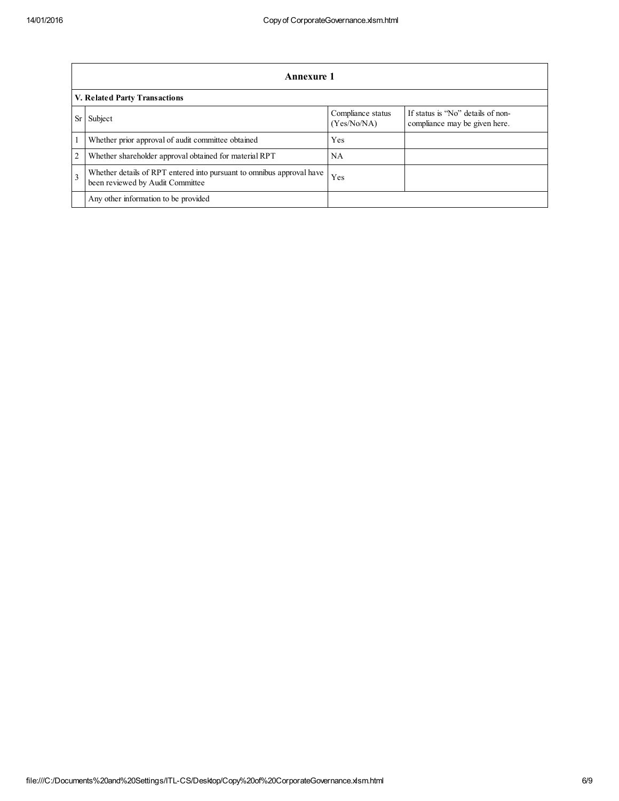|              | Annexure 1                                                                                                |                                  |                                                                    |  |  |  |
|--------------|-----------------------------------------------------------------------------------------------------------|----------------------------------|--------------------------------------------------------------------|--|--|--|
|              | V. Related Party Transactions                                                                             |                                  |                                                                    |  |  |  |
| <b>Sr</b>    | Subject                                                                                                   | Compliance status<br>(Yes/No/NA) | If status is "No" details of non-<br>compliance may be given here. |  |  |  |
|              | Whether prior approval of audit committee obtained                                                        | Yes                              |                                                                    |  |  |  |
| 2            | Whether shareholder approval obtained for material RPT                                                    | NΑ                               |                                                                    |  |  |  |
| $\mathbf{3}$ | Whether details of RPT entered into pursuant to omnibus approval have<br>been reviewed by Audit Committee | Yes                              |                                                                    |  |  |  |
|              | Any other information to be provided                                                                      |                                  |                                                                    |  |  |  |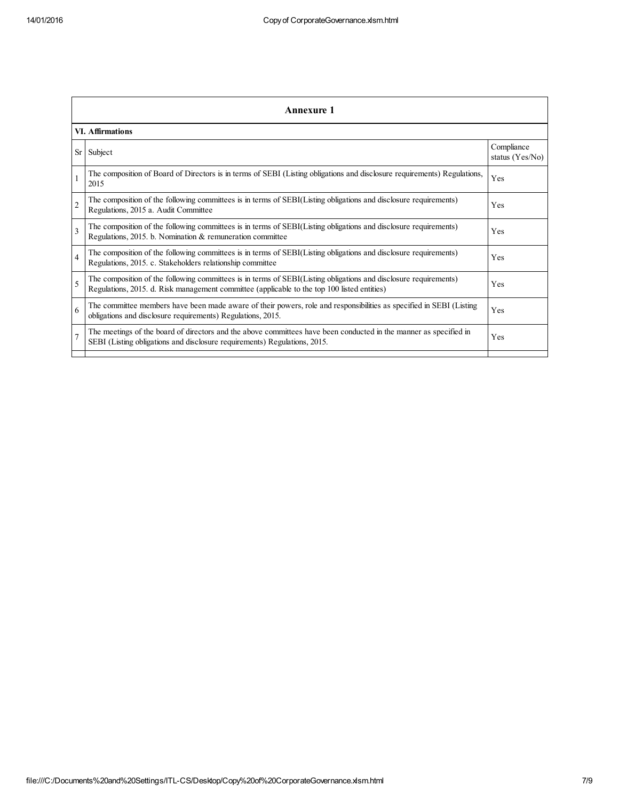|                         | <b>Annexure 1</b>                                                                                                                                                                                               |                               |  |  |  |  |
|-------------------------|-----------------------------------------------------------------------------------------------------------------------------------------------------------------------------------------------------------------|-------------------------------|--|--|--|--|
|                         | <b>VI. Affirmations</b>                                                                                                                                                                                         |                               |  |  |  |  |
| Sr                      | Subject                                                                                                                                                                                                         | Compliance<br>status (Yes/No) |  |  |  |  |
|                         | The composition of Board of Directors is in terms of SEBI (Listing obligations and disclosure requirements) Regulations,<br>2015                                                                                | Yes                           |  |  |  |  |
| $\overline{2}$          | The composition of the following committees is in terms of SEBI(Listing obligations and disclosure requirements)<br>Regulations, 2015 a. Audit Committee                                                        | Yes                           |  |  |  |  |
| $\overline{\mathbf{3}}$ | The composition of the following committees is in terms of SEBI(Listing obligations and disclosure requirements)<br>Regulations, 2015. b. Nomination & remuneration committee                                   | Yes                           |  |  |  |  |
| $\overline{4}$          | The composition of the following committees is in terms of SEBI(Listing obligations and disclosure requirements)<br>Regulations, 2015. c. Stakeholders relationship committee                                   | Yes                           |  |  |  |  |
| 5                       | The composition of the following committees is in terms of SEBI(Listing obligations and disclosure requirements)<br>Regulations, 2015. d. Risk management committee (applicable to the top 100 listed entities) | Yes                           |  |  |  |  |
| 6                       | The committee members have been made aware of their powers, role and responsibilities as specified in SEBI (Listing<br>obligations and disclosure requirements) Regulations, 2015.                              | Yes                           |  |  |  |  |
| $\overline{7}$          | The meetings of the board of directors and the above committees have been conducted in the manner as specified in<br>SEBI (Listing obligations and disclosure requirements) Regulations, 2015.                  | Yes                           |  |  |  |  |
|                         |                                                                                                                                                                                                                 |                               |  |  |  |  |